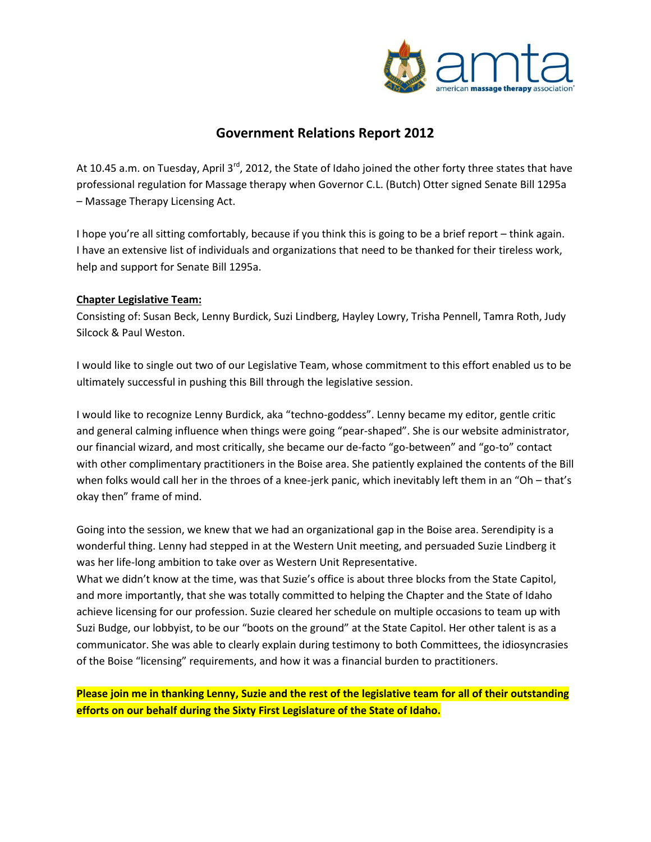

## **Government Relations Report 2012**

At 10.45 a.m. on Tuesday, April 3<sup>rd</sup>, 2012, the State of Idaho joined the other forty three states that have professional regulation for Massage therapy when Governor C.L. (Butch) Otter signed Senate Bill 1295a – Massage Therapy Licensing Act.

I hope you're all sitting comfortably, because if you think this is going to be a brief report – think again. I have an extensive list of individuals and organizations that need to be thanked for their tireless work, help and support for Senate Bill 1295a.

#### **Chapter Legislative Team:**

Consisting of: Susan Beck, Lenny Burdick, Suzi Lindberg, Hayley Lowry, Trisha Pennell, Tamra Roth, Judy Silcock & Paul Weston.

I would like to single out two of our Legislative Team, whose commitment to this effort enabled us to be ultimately successful in pushing this Bill through the legislative session.

I would like to recognize Lenny Burdick, aka "techno-goddess". Lenny became my editor, gentle critic and general calming influence when things were going "pear-shaped". She is our website administrator, our financial wizard, and most critically, she became our de-facto "go-between" and "go-to" contact with other complimentary practitioners in the Boise area. She patiently explained the contents of the Bill when folks would call her in the throes of a knee-jerk panic, which inevitably left them in an "Oh – that's okay then" frame of mind.

Going into the session, we knew that we had an organizational gap in the Boise area. Serendipity is a wonderful thing. Lenny had stepped in at the Western Unit meeting, and persuaded Suzie Lindberg it was her life-long ambition to take over as Western Unit Representative.

What we didn't know at the time, was that Suzie's office is about three blocks from the State Capitol, and more importantly, that she was totally committed to helping the Chapter and the State of Idaho achieve licensing for our profession. Suzie cleared her schedule on multiple occasions to team up with Suzi Budge, our lobbyist, to be our "boots on the ground" at the State Capitol. Her other talent is as a communicator. She was able to clearly explain during testimony to both Committees, the idiosyncrasies of the Boise "licensing" requirements, and how it was a financial burden to practitioners.

**Please join me in thanking Lenny, Suzie and the rest of the legislative team for all of their outstanding efforts on our behalf during the Sixty First Legislature of the State of Idaho.**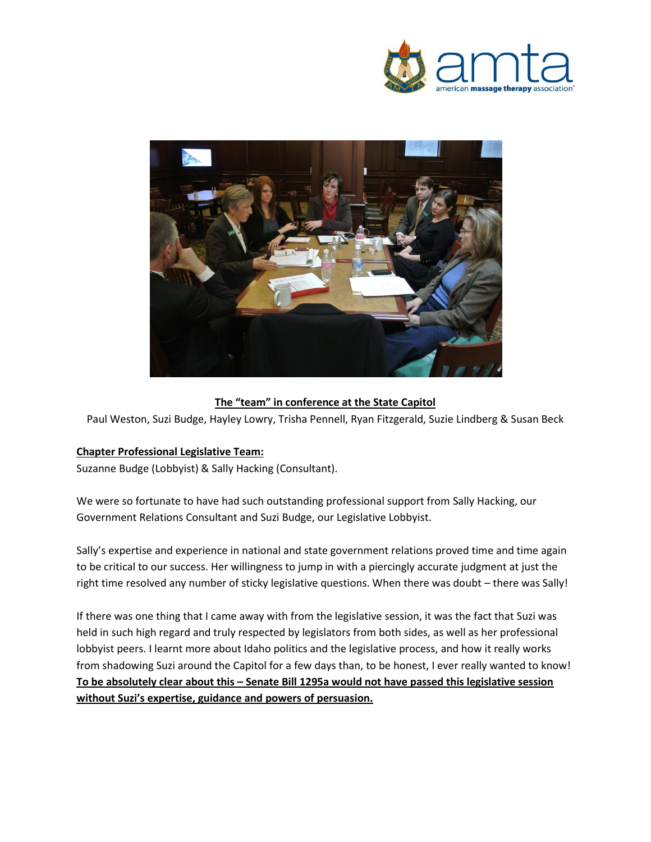



## **The "team" in conference at the State Capitol**

Paul Weston, Suzi Budge, Hayley Lowry, Trisha Pennell, Ryan Fitzgerald, Suzie Lindberg & Susan Beck

#### **Chapter Professional Legislative Team:**

Suzanne Budge (Lobbyist) & Sally Hacking (Consultant).

We were so fortunate to have had such outstanding professional support from Sally Hacking, our Government Relations Consultant and Suzi Budge, our Legislative Lobbyist.

Sally's expertise and experience in national and state government relations proved time and time again to be critical to our success. Her willingness to jump in with a piercingly accurate judgment at just the right time resolved any number of sticky legislative questions. When there was doubt – there was Sally!

If there was one thing that I came away with from the legislative session, it was the fact that Suzi was held in such high regard and truly respected by legislators from both sides, as well as her professional lobbyist peers. I learnt more about Idaho politics and the legislative process, and how it really works from shadowing Suzi around the Capitol for a few days than, to be honest, I ever really wanted to know! **To be absolutely clear about this – Senate Bill 1295a would not have passed this legislative session without Suzi's expertise, guidance and powers of persuasion.**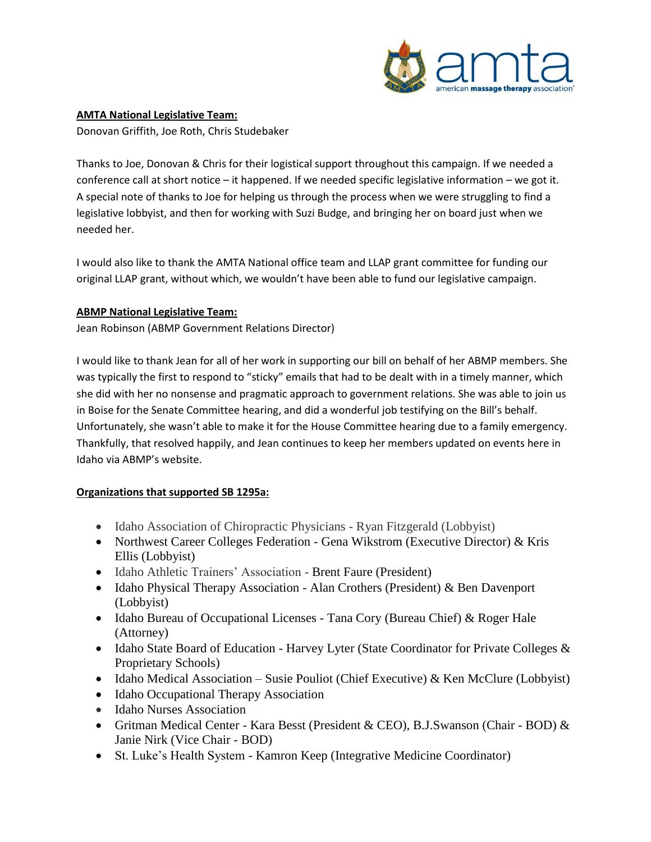

### **AMTA National Legislative Team:**

Donovan Griffith, Joe Roth, Chris Studebaker

Thanks to Joe, Donovan & Chris for their logistical support throughout this campaign. If we needed a conference call at short notice – it happened. If we needed specific legislative information – we got it. A special note of thanks to Joe for helping us through the process when we were struggling to find a legislative lobbyist, and then for working with Suzi Budge, and bringing her on board just when we needed her.

I would also like to thank the AMTA National office team and LLAP grant committee for funding our original LLAP grant, without which, we wouldn't have been able to fund our legislative campaign.

#### **ABMP National Legislative Team:**

Jean Robinson (ABMP Government Relations Director)

I would like to thank Jean for all of her work in supporting our bill on behalf of her ABMP members. She was typically the first to respond to "sticky" emails that had to be dealt with in a timely manner, which she did with her no nonsense and pragmatic approach to government relations. She was able to join us in Boise for the Senate Committee hearing, and did a wonderful job testifying on the Bill's behalf. Unfortunately, she wasn't able to make it for the House Committee hearing due to a family emergency. Thankfully, that resolved happily, and Jean continues to keep her members updated on events here in Idaho via ABMP's website.

## **Organizations that supported SB 1295a:**

- Idaho Association of Chiropractic Physicians Ryan Fitzgerald (Lobbyist)
- Northwest Career Colleges Federation Gena Wikstrom (Executive Director) & Kris Ellis (Lobbyist)
- Idaho Athletic Trainers' Association Brent Faure (President)
- Idaho Physical Therapy Association Alan Crothers (President) & Ben Davenport (Lobbyist)
- Idaho Bureau of Occupational Licenses Tana Cory (Bureau Chief)  $\&$  Roger Hale (Attorney)
- Idaho State Board of Education Harvey Lyter (State Coordinator for Private Colleges & Proprietary Schools)
- Idaho Medical Association Susie Pouliot (Chief Executive) & Ken McClure (Lobbyist)
- Idaho Occupational Therapy Association
- Idaho Nurses Association
- Gritman Medical Center Kara Besst (President & CEO), B.J.Swanson (Chair BOD) & Janie Nirk (Vice Chair - BOD)
- St. Luke's Health System Kamron Keep (Integrative Medicine Coordinator)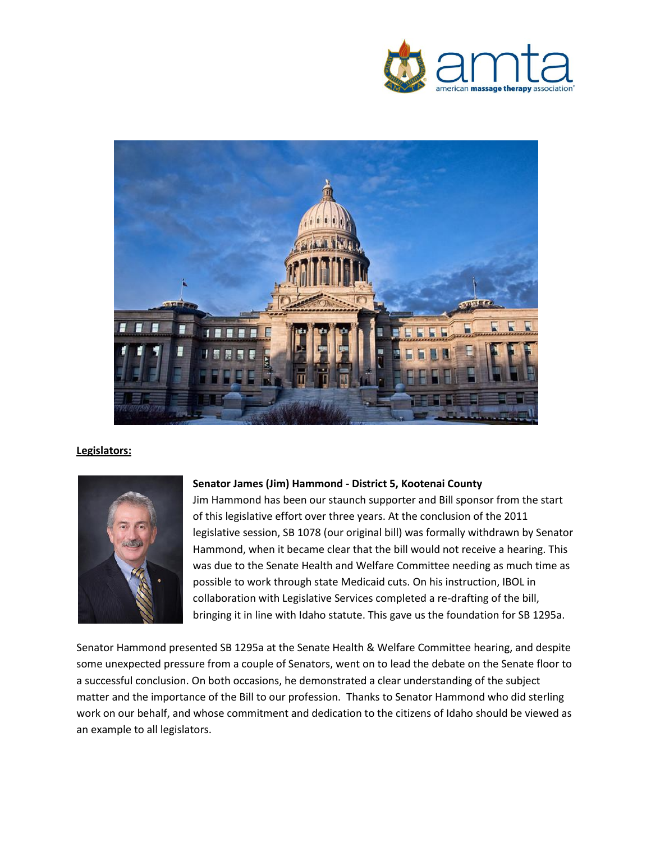



#### **Legislators:**



#### **Senator James (Jim) Hammond - District 5, Kootenai County**

Jim Hammond has been our staunch supporter and Bill sponsor from the start of this legislative effort over three years. At the conclusion of the 2011 legislative session, SB 1078 (our original bill) was formally withdrawn by Senator Hammond, when it became clear that the bill would not receive a hearing. This was due to the Senate Health and Welfare Committee needing as much time as possible to work through state Medicaid cuts. On his instruction, IBOL in collaboration with Legislative Services completed a re-drafting of the bill, bringing it in line with Idaho statute. This gave us the foundation for SB 1295a.

Senator Hammond presented SB 1295a at the Senate Health & Welfare Committee hearing, and despite some unexpected pressure from a couple of Senators, went on to lead the debate on the Senate floor to a successful conclusion. On both occasions, he demonstrated a clear understanding of the subject matter and the importance of the Bill to our profession. Thanks to Senator Hammond who did sterling work on our behalf, and whose commitment and dedication to the citizens of Idaho should be viewed as an example to all legislators.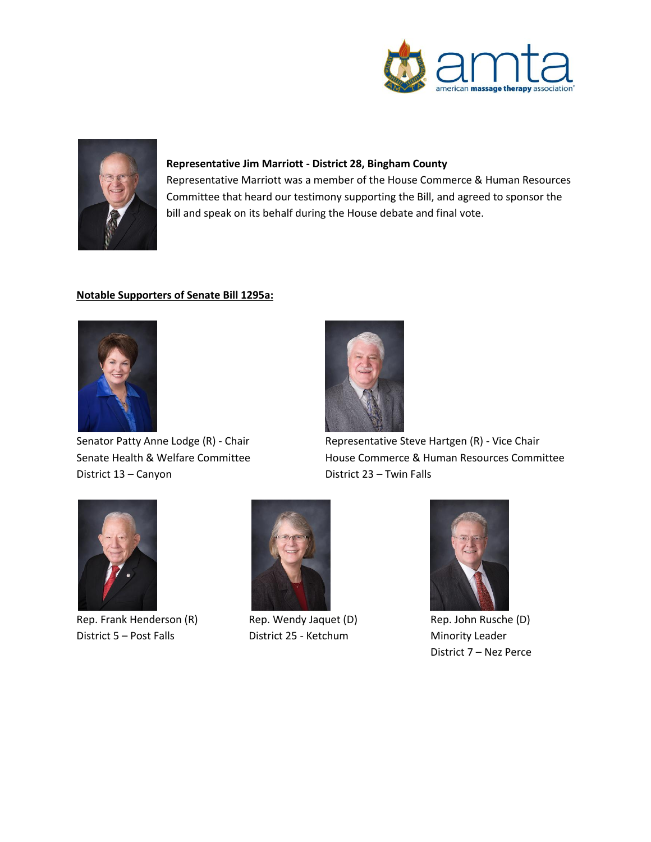



#### **Representative Jim Marriott - District 28, Bingham County**

Representative Marriott was a member of the House Commerce & Human Resources Committee that heard our testimony supporting the Bill, and agreed to sponsor the bill and speak on its behalf during the House debate and final vote.

#### **Notable Supporters of Senate Bill 1295a:**



District 13 – Canyon District 23 – Twin Falls



Senator Patty Anne Lodge (R) - Chair Representative Steve Hartgen (R) - Vice Chair Senate Health & Welfare Committee House Commerce & Human Resources Committee



Rep. Frank Henderson (R) Rep. Wendy Jaquet (D) Rep. John Rusche (D) District 5 – Post Falls **District 25 - Ketchum** Minority Leader





District 7 – Nez Perce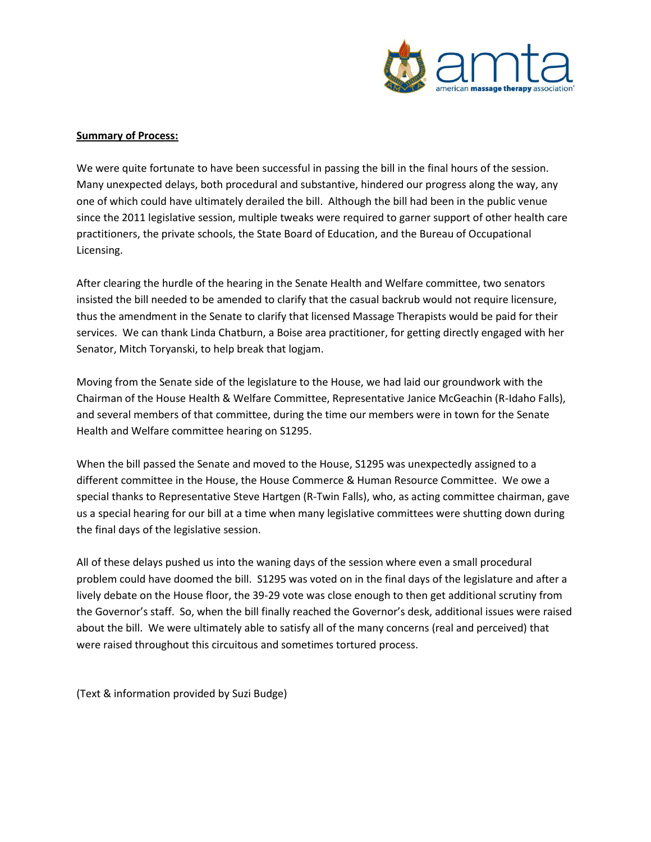

#### **Summary of Process:**

We were quite fortunate to have been successful in passing the bill in the final hours of the session. Many unexpected delays, both procedural and substantive, hindered our progress along the way, any one of which could have ultimately derailed the bill. Although the bill had been in the public venue since the 2011 legislative session, multiple tweaks were required to garner support of other health care practitioners, the private schools, the State Board of Education, and the Bureau of Occupational Licensing.

After clearing the hurdle of the hearing in the Senate Health and Welfare committee, two senators insisted the bill needed to be amended to clarify that the casual backrub would not require licensure, thus the amendment in the Senate to clarify that licensed Massage Therapists would be paid for their services. We can thank Linda Chatburn, a Boise area practitioner, for getting directly engaged with her Senator, Mitch Toryanski, to help break that logjam.

Moving from the Senate side of the legislature to the House, we had laid our groundwork with the Chairman of the House Health & Welfare Committee, Representative Janice McGeachin (R-Idaho Falls), and several members of that committee, during the time our members were in town for the Senate Health and Welfare committee hearing on S1295.

When the bill passed the Senate and moved to the House, S1295 was unexpectedly assigned to a different committee in the House, the House Commerce & Human Resource Committee. We owe a special thanks to Representative Steve Hartgen (R-Twin Falls), who, as acting committee chairman, gave us a special hearing for our bill at a time when many legislative committees were shutting down during the final days of the legislative session.

All of these delays pushed us into the waning days of the session where even a small procedural problem could have doomed the bill. S1295 was voted on in the final days of the legislature and after a lively debate on the House floor, the 39-29 vote was close enough to then get additional scrutiny from the Governor's staff. So, when the bill finally reached the Governor's desk, additional issues were raised about the bill. We were ultimately able to satisfy all of the many concerns (real and perceived) that were raised throughout this circuitous and sometimes tortured process.

(Text & information provided by Suzi Budge)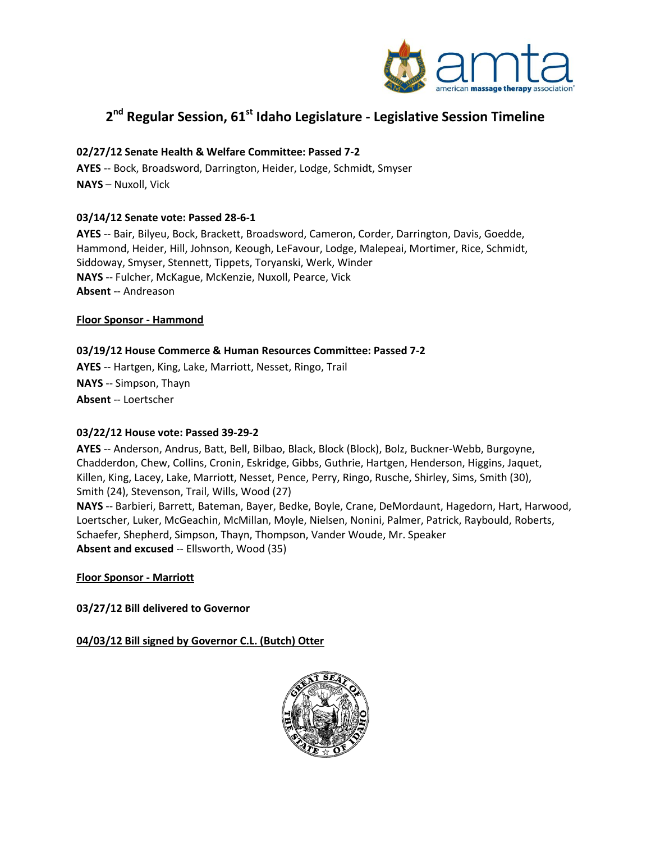

# **2 nd Regular Session, 61st Idaho Legislature - Legislative Session Timeline**

#### **02/27/12 Senate Health & Welfare Committee: Passed 7-2**

**AYES** -- Bock, Broadsword, Darrington, Heider, Lodge, Schmidt, Smyser **NAYS** – Nuxoll, Vick

#### **03/14/12 Senate vote: Passed 28-6-1**

**AYES** -- Bair, Bilyeu, Bock, Brackett, Broadsword, Cameron, Corder, Darrington, Davis, Goedde, Hammond, Heider, Hill, Johnson, Keough, LeFavour, Lodge, Malepeai, Mortimer, Rice, Schmidt, Siddoway, Smyser, Stennett, Tippets, Toryanski, Werk, Winder **NAYS** -- Fulcher, McKague, McKenzie, Nuxoll, Pearce, Vick **Absent** -- Andreason

#### **Floor Sponsor - Hammond**

#### **03/19/12 House Commerce & Human Resources Committee: Passed 7-2**

**AYES** -- Hartgen, King, Lake, Marriott, Nesset, Ringo, Trail **NAYS** -- Simpson, Thayn **Absent** -- Loertscher

#### **03/22/12 House vote: Passed 39-29-2**

**AYES** -- Anderson, Andrus, Batt, Bell, Bilbao, Black, Block (Block), Bolz, Buckner-Webb, Burgoyne, Chadderdon, Chew, Collins, Cronin, Eskridge, Gibbs, Guthrie, Hartgen, Henderson, Higgins, Jaquet, Killen, King, Lacey, Lake, Marriott, Nesset, Pence, Perry, Ringo, Rusche, Shirley, Sims, Smith (30), Smith (24), Stevenson, Trail, Wills, Wood (27)

**NAYS** -- Barbieri, Barrett, Bateman, Bayer, Bedke, Boyle, Crane, DeMordaunt, Hagedorn, Hart, Harwood, Loertscher, Luker, McGeachin, McMillan, Moyle, Nielsen, Nonini, Palmer, Patrick, Raybould, Roberts, Schaefer, Shepherd, Simpson, Thayn, Thompson, Vander Woude, Mr. Speaker **Absent and excused** -- Ellsworth, Wood (35)

**Floor Sponsor - Marriott**

**03/27/12 Bill delivered to Governor** 

#### **04/03/12 Bill signed by Governor C.L. (Butch) Otter**

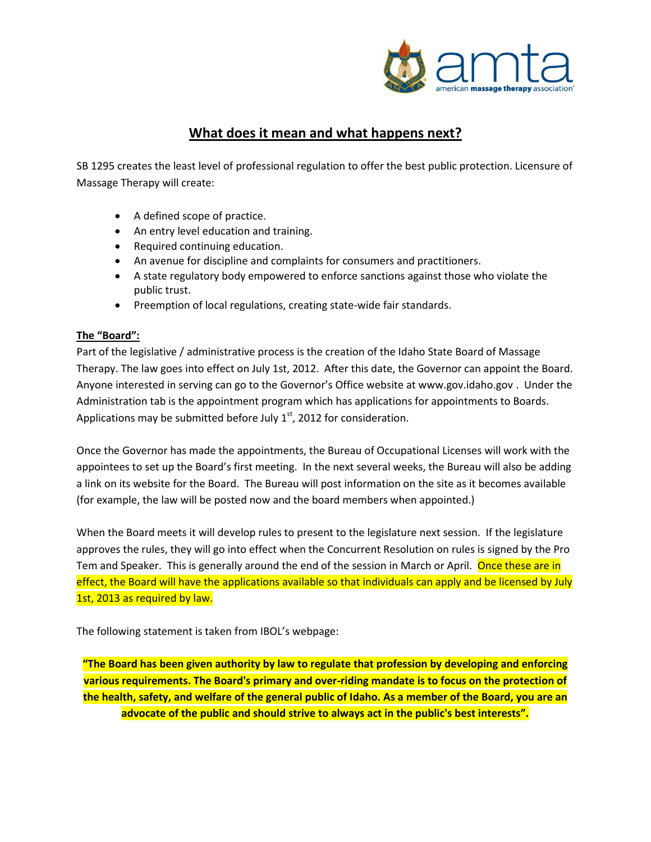

# **What does it mean and what happens next?**

SB 1295 creates the least level of professional regulation to offer the best public protection. Licensure of Massage Therapy will create:

- A defined scope of practice.
- An entry level education and training.
- Required continuing education.
- An avenue for discipline and complaints for consumers and practitioners.
- A state regulatory body empowered to enforce sanctions against those who violate the public trust.
- Preemption of local regulations, creating state-wide fair standards.

#### **The "Board":**

Part of the legislative / administrative process is the creation of the Idaho State Board of Massage Therapy. The law goes into effect on July 1st, 2012. After this date, the Governor can appoint the Board. Anyone interested in serving can go to the Governor's Office website at www.gov.idaho.gov . Under the Administration tab is the appointment program which has applications for appointments to Boards. Applications may be submitted before July  $1<sup>st</sup>$ , 2012 for consideration.

Once the Governor has made the appointments, the Bureau of Occupational Licenses will work with the appointees to set up the Board's first meeting. In the next several weeks, the Bureau will also be adding a link on its website for the Board. The Bureau will post information on the site as it becomes available (for example, the law will be posted now and the board members when appointed.)

When the Board meets it will develop rules to present to the legislature next session. If the legislature approves the rules, they will go into effect when the Concurrent Resolution on rules is signed by the Pro Tem and Speaker. This is generally around the end of the session in March or April. Once these are in effect, the Board will have the applications available so that individuals can apply and be licensed by July 1st, 2013 as required by law.

The following statement is taken from IBOL's webpage:

**"The Board has been given authority by law to regulate that profession by developing and enforcing various requirements. The Board's primary and over-riding mandate is to focus on the protection of the health, safety, and welfare of the general public of Idaho. As a member of the Board, you are an advocate of the public and should strive to always act in the public's best interests".**